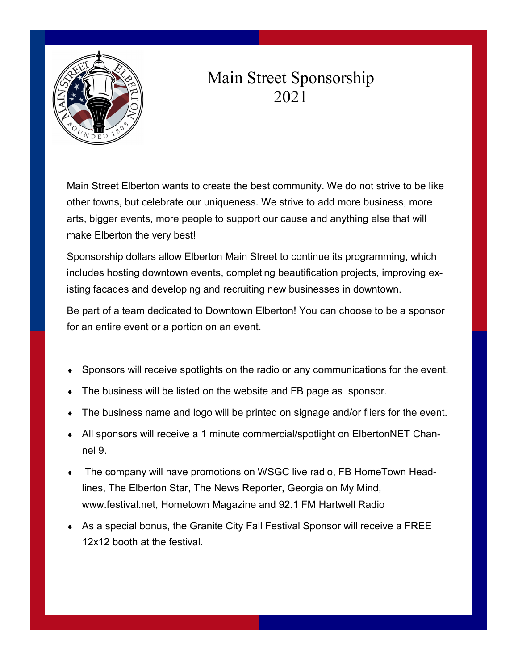

## Main Street Sponsorship 2021

Main Street Elberton wants to create the best community. We do not strive to be like other towns, but celebrate our uniqueness. We strive to add more business, more arts, bigger events, more people to support our cause and anything else that will make Elberton the very best!

Sponsorship dollars allow Elberton Main Street to continue its programming, which includes hosting downtown events, completing beautification projects, improving existing facades and developing and recruiting new businesses in downtown.

Be part of a team dedicated to Downtown Elberton! You can choose to be a sponsor for an entire event or a portion on an event.

- Sponsors will receive spotlights on the radio or any communications for the event.
- The business will be listed on the website and FB page as sponsor.
- The business name and logo will be printed on signage and/or fliers for the event.
- All sponsors will receive a 1 minute commercial/spotlight on ElbertonNET Channel 9.
- The company will have promotions on WSGC live radio, FB HomeTown Headlines, The Elberton Star, The News Reporter, Georgia on My Mind, www.festival.net, Hometown Magazine and 92.1 FM Hartwell Radio
- As a special bonus, the Granite City Fall Festival Sponsor will receive a FREE 12x12 booth at the festival.